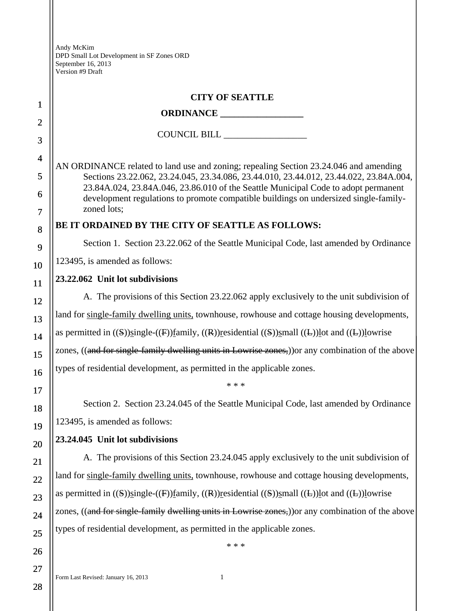|                     | <b>CITY OF SEATTLE</b>                                                                                                                                                                                                                                                |  |
|---------------------|-----------------------------------------------------------------------------------------------------------------------------------------------------------------------------------------------------------------------------------------------------------------------|--|
| 1                   |                                                                                                                                                                                                                                                                       |  |
| $\overline{2}$      | COUNCIL BILL                                                                                                                                                                                                                                                          |  |
| 3                   |                                                                                                                                                                                                                                                                       |  |
| $\overline{4}$<br>5 | AN ORDINANCE related to land use and zoning; repealing Section 23.24.046 and amending<br>Sections 23.22.062, 23.24.045, 23.34.086, 23.44.010, 23.44.012, 23.44.022, 23.84A.004,<br>23.84A.024, 23.84A.046, 23.86.010 of the Seattle Municipal Code to adopt permanent |  |
| 6                   |                                                                                                                                                                                                                                                                       |  |
| 7                   | development regulations to promote compatible buildings on undersized single-family-<br>zoned lots;                                                                                                                                                                   |  |
| 8                   | BE IT ORDAINED BY THE CITY OF SEATTLE AS FOLLOWS:                                                                                                                                                                                                                     |  |
| 9                   | Section 1. Section 23.22.062 of the Seattle Municipal Code, last amended by Ordinance                                                                                                                                                                                 |  |
| 10                  | 123495, is amended as follows:                                                                                                                                                                                                                                        |  |
| 11                  | 23.22.062 Unit lot subdivisions                                                                                                                                                                                                                                       |  |
| 12                  | A. The provisions of this Section 23.22.062 apply exclusively to the unit subdivision of                                                                                                                                                                              |  |
| 13                  | land for single-family dwelling units, townhouse, rowhouse and cottage housing developments,                                                                                                                                                                          |  |
| 14                  | as permitted in $((S))$ single- $((F))$ family, $((R))$ residential $((S))$ small $((L))$ lot and $((L))$ lowrise                                                                                                                                                     |  |
| 15                  | zones, ((and for single-family dwelling units in Lowrise zones,)) or any combination of the above                                                                                                                                                                     |  |
| 16                  | types of residential development, as permitted in the applicable zones.                                                                                                                                                                                               |  |
| 17                  | * * *                                                                                                                                                                                                                                                                 |  |
| 18                  | Section 2. Section 23.24.045 of the Seattle Municipal Code, last amended by Ordinance                                                                                                                                                                                 |  |
| 19                  | 123495, is amended as follows:                                                                                                                                                                                                                                        |  |
| 20                  | 23.24.045 Unit lot subdivisions                                                                                                                                                                                                                                       |  |
| 21                  | A. The provisions of this Section 23.24.045 apply exclusively to the unit subdivision of                                                                                                                                                                              |  |
| 22                  | land for single-family dwelling units, townhouse, rowhouse and cottage housing developments,                                                                                                                                                                          |  |
| 23                  | as permitted in $((S))$ single- $((F))$ family, $((R))$ residential $((S))$ small $((L))$ lot and $((L))$ lowrise                                                                                                                                                     |  |
| 24                  | zones, ((and for single-family dwelling units in Lowrise zones,)) or any combination of the above                                                                                                                                                                     |  |
| 25                  | types of residential development, as permitted in the applicable zones.                                                                                                                                                                                               |  |
|                     | * * *                                                                                                                                                                                                                                                                 |  |

28

26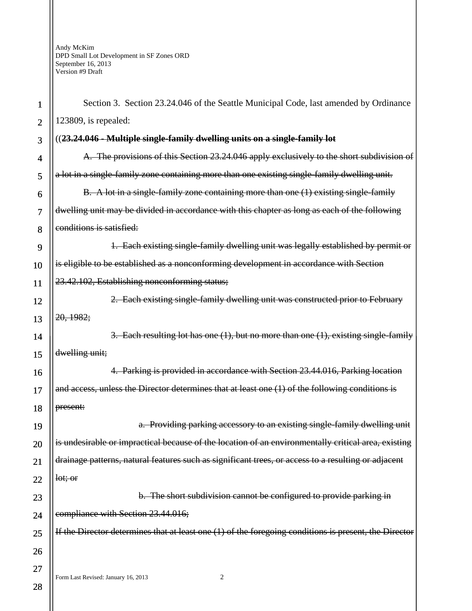| 1              | Section 3. Section 23.24.046 of the Seattle Municipal Code, last amended by Ordinance                   |  |  |
|----------------|---------------------------------------------------------------------------------------------------------|--|--|
| $\overline{2}$ | 123809, is repealed:                                                                                    |  |  |
| 3              | ((23.24.046 - Multiple single-family dwelling units on a single-family lot                              |  |  |
| 4              | A. The provisions of this Section 23.24.046 apply exclusively to the short subdivision of               |  |  |
| 5              | a lot in a single-family zone containing more than one existing single-family dwelling unit.            |  |  |
| 6              | B. A lot in a single-family zone containing more than one (1) existing single-family                    |  |  |
| 7              | dwelling unit may be divided in accordance with this chapter as long as each of the following           |  |  |
| 8              | conditions is satisfied:                                                                                |  |  |
| 9              | 1. Each existing single-family dwelling unit was legally established by permit or                       |  |  |
| 10             | is eligible to be established as a nonconforming development in accordance with Section                 |  |  |
| 11             | 23.42.102, Establishing nonconforming status;                                                           |  |  |
| 12             | 2. Each existing single-family dwelling unit was constructed prior to February                          |  |  |
| 13             | 20, 1982;                                                                                               |  |  |
| 14             | 3. Each resulting lot has one $(1)$ , but no more than one $(1)$ , existing single-family               |  |  |
| 15             | dwelling unit;                                                                                          |  |  |
| 16             | 4. Parking is provided in accordance with Section 23.44.016, Parking location                           |  |  |
| 17             | and access, unless the Director determines that at least one (1) of the following conditions is         |  |  |
| 18             | present:                                                                                                |  |  |
| 19             | a. Providing parking accessory to an existing single-family dwelling unit                               |  |  |
| 20             | is undesirable or impractical because of the location of an environmentally critical area, existing     |  |  |
| 21             | drainage patterns, natural features such as significant trees, or access to a resulting or adjacent     |  |  |
| 22             | let; or                                                                                                 |  |  |
| 23             | b. The short subdivision cannot be configured to provide parking in                                     |  |  |
| 24             | compliance with Section 23.44.016;                                                                      |  |  |
| 25             | If the Director determines that at least one $(1)$ of the foregoing conditions is present, the Director |  |  |
| 26             |                                                                                                         |  |  |
| 27             |                                                                                                         |  |  |
| 28             | $\overline{c}$<br>Form Last Revised: January 16, 2013                                                   |  |  |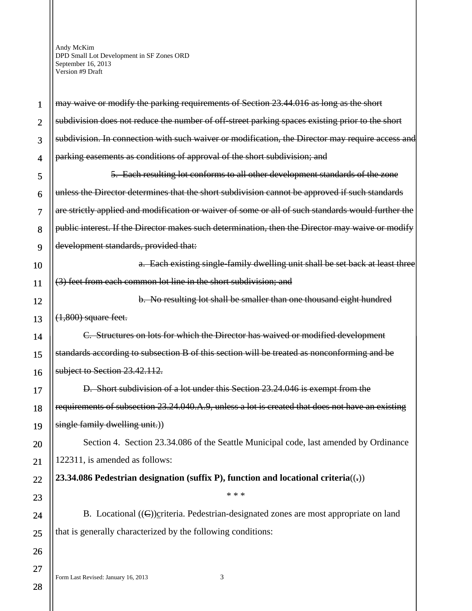| 1              | may waive or modify the parking requirements of Section 23.44.016 as long as the short             |  |
|----------------|----------------------------------------------------------------------------------------------------|--|
| $\overline{2}$ | subdivision does not reduce the number of off-street parking spaces existing prior to the short    |  |
| 3              | subdivision. In connection with such waiver or modification, the Director may require access and   |  |
| 4              | parking easements as conditions of approval of the short subdivision; and                          |  |
| 5              | 5. Each resulting lot conforms to all other development standards of the zone                      |  |
| 6              | unless the Director determines that the short subdivision cannot be approved if such standards     |  |
| 7              | are strictly applied and modification or waiver of some or all of such standards would further the |  |
| 8              | public interest. If the Director makes such determination, then the Director may waive or modify   |  |
| 9              | development standards, provided that:                                                              |  |
| 10             | a. Each existing single-family dwelling unit shall be set back at least three                      |  |
| 11             | (3) feet from each common lot line in the short subdivision; and                                   |  |
| 12             | b. No resulting lot shall be smaller than one thousand eight hundred                               |  |
| 13             | $(1,800)$ square feet.                                                                             |  |
| 14             | C. Structures on lots for which the Director has waived or modified development                    |  |
| 15             | standards according to subsection B of this section will be treated as nonconforming and be        |  |
| 16             | subject to Section 23.42.112.                                                                      |  |
| 17             | D. Short subdivision of a lot under this Section 23.24.046 is exempt from the                      |  |
| 18             | requirements of subsection 23.24.040.A.9, unless a lot is created that does not have an existing   |  |
| 19             | single family dwelling unit.))                                                                     |  |
| 20             | Section 4. Section 23.34.086 of the Seattle Municipal code, last amended by Ordinance              |  |
| 21             | 122311, is amended as follows:                                                                     |  |
| 22             | 23.34.086 Pedestrian designation (suffix P), function and locational criteria( $($ , $)$ )         |  |
| 23             | * * *                                                                                              |  |
| 24             | B. Locational $((\in))$ criteria. Pedestrian-designated zones are most appropriate on land         |  |
| 25             | that is generally characterized by the following conditions:                                       |  |
| 26             |                                                                                                    |  |
| 27             |                                                                                                    |  |
| 28             | 3<br>Form Last Revised: January 16, 2013                                                           |  |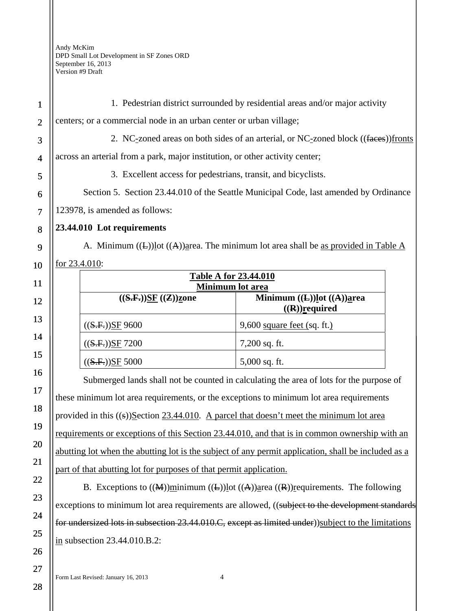1 2 3 4 5 6 7 8 9 10 11 12 13 14 15 16 17 18 19 20 21 22 1. Pedestrian district surrounded by residential areas and/or major activity centers; or a commercial node in an urban center or urban village; 2. NC-zoned areas on both sides of an arterial, or NC-zoned block ((faces))fronts across an arterial from a park, major institution, or other activity center; 3. Excellent access for pedestrians, transit, and bicyclists. Section 5. Section 23.44.010 of the Seattle Municipal Code, last amended by Ordinance 123978, is amended as follows: **23.44.010 Lot requirements**  A. Minimum  $((\text{L}))$  lot  $((\text{A}))$  area. The minimum lot area shall be as provided in Table A for 23.4.010: **Table A for 23.44.010 Minimum lot area**   $((S.F.))SF ((Z))zone$  Minimum  $((L))lot ((A))area$ **((R))required**   $((S.F.))SF 9600$  9,600 square feet (sq. ft.)  $((S.F.))SE 7200$  7,200 sq. ft.  $((S.F.))SF 5000$  5,000 sq. ft. Submerged lands shall not be counted in calculating the area of lots for the purpose of these minimum lot area requirements, or the exceptions to minimum lot area requirements provided in this  $((s))$ Section 23.44.010. A parcel that doesn't meet the minimum lot area requirements or exceptions of this Section 23.44.010, and that is in common ownership with an abutting lot when the abutting lot is the subject of any permit application, shall be included as a part of that abutting lot for purposes of that permit application.

B. Exceptions to  $((\mathbf{M}))$ minimum  $((\mathbf{L}))$ lot  $((\mathbf{A}))$ area  $((\mathbf{R}))$ requirements. The following exceptions to minimum lot area requirements are allowed, ((subject to the development standards for undersized lots in subsection 23.44.010.C, except as limited under))subject to the limitations in subsection 23.44.010.B.2:

28

23

24

25

26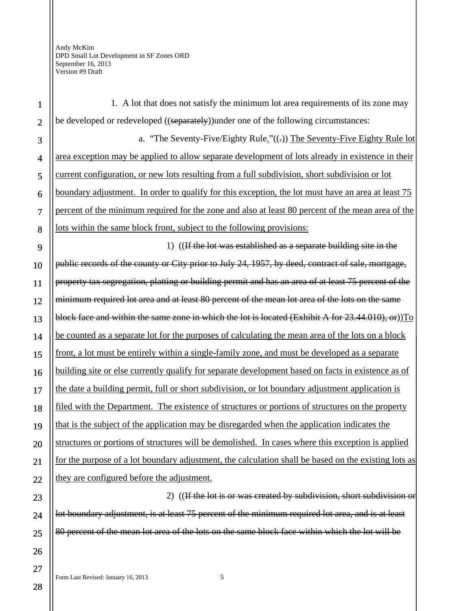| $\mathbf{1}$   | 1. A lot that does not satisfy the minimum lot area requirements of its zone may                     |  |
|----------------|------------------------------------------------------------------------------------------------------|--|
| $\overline{2}$ | be developed or redeveloped ((separately)) under one of the following circumstances:                 |  |
| 3              | a. "The Seventy-Five/Eighty Rule." $((.)$ The Seventy-Five Eighty Rule lot                           |  |
| $\overline{4}$ | area exception may be applied to allow separate development of lots already in existence in their    |  |
| 5              | current configuration, or new lots resulting from a full subdivision, short subdivision or lot       |  |
| 6              | boundary adjustment. In order to qualify for this exception, the lot must have an area at least 75   |  |
| 7              | percent of the minimum required for the zone and also at least 80 percent of the mean area of the    |  |
| 8              | lots within the same block front, subject to the following provisions:                               |  |
| 9              | 1) ((If the lot was established as a separate building site in the                                   |  |
| 10             | public records of the county or City prior to July 24, 1957, by deed, contract of sale, mortgage,    |  |
| 11             | property tax segregation, platting or building permit and has an area of at least 75 percent of the  |  |
| 12             | minimum required lot area and at least 80 percent of the mean lot area of the lots on the same       |  |
| 13             | block face and within the same zone in which the lot is located (Exhibit A for 23.44.010), or))To    |  |
| 14             | be counted as a separate lot for the purposes of calculating the mean area of the lots on a block    |  |
| 15             | front, a lot must be entirely within a single-family zone, and must be developed as a separate       |  |
| 16             | building site or else currently qualify for separate development based on facts in existence as of   |  |
| 17             | the date a building permit, full or short subdivision, or lot boundary adjustment application is     |  |
| 18             | filed with the Department. The existence of structures or portions of structures on the property     |  |
| 19             | that is the subject of the application may be disregarded when the application indicates the         |  |
| 20             | structures or portions of structures will be demolished. In cases where this exception is applied    |  |
| 21             | for the purpose of a lot boundary adjustment, the calculation shall be based on the existing lots as |  |
| 22             | they are configured before the adjustment.                                                           |  |
| 23             | 2) ((If the lot is or was created by subdivision, short subdivision or                               |  |
| 24             | lot boundary adjustment, is at least 75 percent of the minimum required lot area, and is at least    |  |
| 25             | 80 percent of the mean lot area of the lots on the same block face within which the lot will be      |  |
| 26             |                                                                                                      |  |
| 27             |                                                                                                      |  |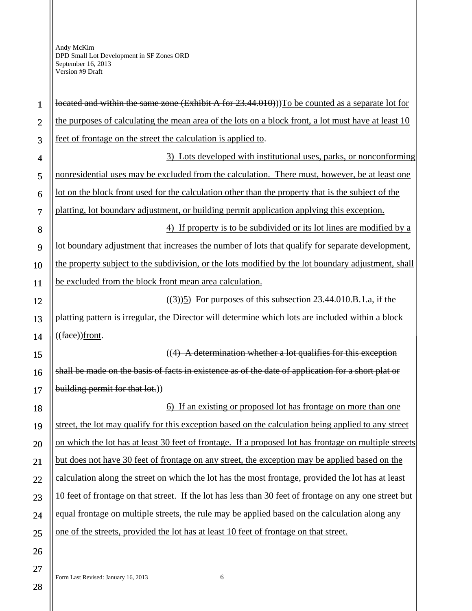| $\mathbf{1}$   | located and within the same zone (Exhibit A for 23.44.010))) To be counted as a separate lot for       |  |
|----------------|--------------------------------------------------------------------------------------------------------|--|
| $\overline{2}$ | the purposes of calculating the mean area of the lots on a block front, a lot must have at least 10    |  |
| 3              | feet of frontage on the street the calculation is applied to.                                          |  |
| $\overline{4}$ | 3) Lots developed with institutional uses, parks, or nonconforming                                     |  |
| 5              | nonresidential uses may be excluded from the calculation. There must, however, be at least one         |  |
| 6              | lot on the block front used for the calculation other than the property that is the subject of the     |  |
| 7              | platting, lot boundary adjustment, or building permit application applying this exception.             |  |
| 8              | 4) If property is to be subdivided or its lot lines are modified by a                                  |  |
| 9              | lot boundary adjustment that increases the number of lots that qualify for separate development,       |  |
| 10             | the property subject to the subdivision, or the lots modified by the lot boundary adjustment, shall    |  |
| 11             | be excluded from the block front mean area calculation.                                                |  |
| 12             | $((3))$ 5) For purposes of this subsection 23.44.010.B.1.a, if the                                     |  |
| 13             | platting pattern is irregular, the Director will determine which lots are included within a block      |  |
| 14             | $((\text{face})\text{front}.$                                                                          |  |
| 15             | $((4)$ A determination whether a lot qualifies for this exception                                      |  |
| 16             | shall be made on the basis of facts in existence as of the date of application for a short plat or     |  |
| 17             | building permit for that lot.))                                                                        |  |
| 18             | <u>(6) If an existing or proposed lot has frontage on more than one</u>                                |  |
| 19             | street, the lot may qualify for this exception based on the calculation being applied to any street    |  |
| 20             | on which the lot has at least 30 feet of frontage. If a proposed lot has frontage on multiple streets  |  |
| 21             | but does not have 30 feet of frontage on any street, the exception may be applied based on the         |  |
| 22             | calculation along the street on which the lot has the most frontage, provided the lot has at least     |  |
| 23             | 10 feet of frontage on that street. If the lot has less than 30 feet of frontage on any one street but |  |
| 24             | equal frontage on multiple streets, the rule may be applied based on the calculation along any         |  |
| 25             | one of the streets, provided the lot has at least 10 feet of frontage on that street.                  |  |
| 26             |                                                                                                        |  |
| 27             |                                                                                                        |  |

Form Last Revised: January 16, 2013 6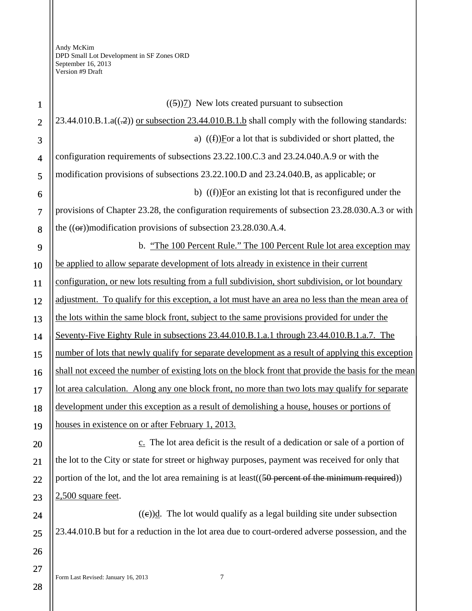| $\mathbf{1}$   | $((5))$ New lots created pursuant to subsection                                                      |  |
|----------------|------------------------------------------------------------------------------------------------------|--|
| $\overline{2}$ | 23.44.010.B.1.a((-2)) or subsection 23.44.010.B.1.b shall comply with the following standards:       |  |
| 3              | a) $(f)$ For a lot that is subdivided or short platted, the                                          |  |
| $\overline{4}$ | configuration requirements of subsections 23.22.100.C.3 and 23.24.040.A.9 or with the                |  |
| 5              | modification provisions of subsections 23.22.100.D and 23.24.040.B, as applicable; or                |  |
| 6              | b) $(f)$ [For an existing lot that is reconfigured under the                                         |  |
| $\overline{7}$ | provisions of Chapter 23.28, the configuration requirements of subsection 23.28.030.A.3 or with      |  |
| 8              | the $((\Theta$ ) modification provisions of subsection 23.28.030.A.4.                                |  |
| 9              | b. "The 100 Percent Rule." The 100 Percent Rule lot area exception may                               |  |
| 10             | be applied to allow separate development of lots already in existence in their current               |  |
| 11             | configuration, or new lots resulting from a full subdivision, short subdivision, or lot boundary     |  |
| 12             | adjustment. To qualify for this exception, a lot must have an area no less than the mean area of     |  |
| 13             | the lots within the same block front, subject to the same provisions provided for under the          |  |
| 14             | Seventy-Five Eighty Rule in subsections 23.44.010.B.1.a.1 through 23.44.010.B.1.a.7. The             |  |
| 15             | number of lots that newly qualify for separate development as a result of applying this exception    |  |
| 16             | shall not exceed the number of existing lots on the block front that provide the basis for the mean  |  |
| 17             | lot area calculation. Along any one block front, no more than two lots may qualify for separate      |  |
| 18             | development under this exception as a result of demolishing a house, houses or portions of           |  |
| 19             | houses in existence on or after February 1, 2013.                                                    |  |
| 20             | c. The lot area deficit is the result of a dedication or sale of a portion of                        |  |
| 21             | the lot to the City or state for street or highway purposes, payment was received for only that      |  |
| 22             | portion of the lot, and the lot area remaining is at least $((50)$ percent of the minimum required)) |  |
| 23             | $2,500$ square feet.                                                                                 |  |
| 24             | $((e))$ d. The lot would qualify as a legal building site under subsection                           |  |
| 25             | 23.44.010.B but for a reduction in the lot area due to court-ordered adverse possession, and the     |  |
| 26             |                                                                                                      |  |
| 27             |                                                                                                      |  |
|                | Form Last Revised: January 16, 2013<br>7                                                             |  |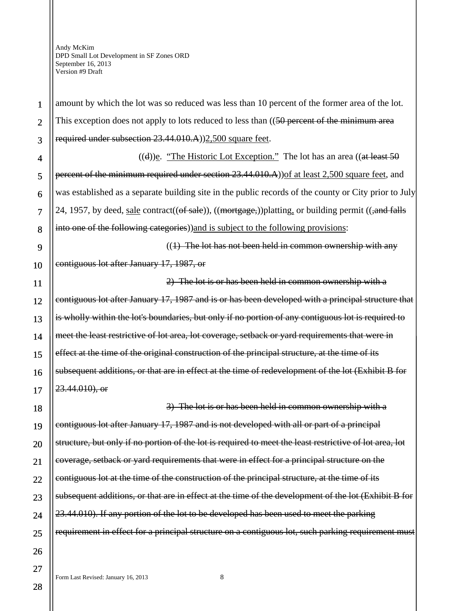1

 $\overline{2}$ 

3

4

5

6

7

8

9

10

11

12

13

14

15

16

17

18

19

20

21

22

23

24

25

26

27

amount by which the lot was so reduced was less than 10 percent of the former area of the lot. This exception does not apply to lots reduced to less than ((50 percent of the minimum area required under subsection 23.44.010.A))2,500 square feet.

 $((d))$ e. "The Historic Lot Exception." The lot has an area  $((at least 50$ percent of the minimum required under section 23.44.010.A)) of at least 2,500 square feet, and was established as a separate building site in the public records of the county or City prior to July 24, 1957, by deed, sale contract( $(\theta$ f sale)),  $((\theta)$ ,  $((\theta)$  permit  $((\theta)$  and falls into one of the following categories))and is subject to the following provisions:

 $((1)$  The lot has not been held in common ownership with any contiguous lot after January 17, 1987, or

2) The lot is or has been held in common ownership with a contiguous lot after January 17, 1987 and is or has been developed with a principal structure that is wholly within the lot's boundaries, but only if no portion of any contiguous lot is required to meet the least restrictive of lot area, lot coverage, setback or yard requirements that were in effect at the time of the original construction of the principal structure, at the time of its subsequent additions, or that are in effect at the time of redevelopment of the lot (Exhibit B for 23.44.010), or

3) The lot is or has been held in common ownership with a contiguous lot after January 17, 1987 and is not developed with all or part of a principal structure, but only if no portion of the lot is required to meet the least restrictive of lot area, lot coverage, setback or yard requirements that were in effect for a principal structure on the contiguous lot at the time of the construction of the principal structure, at the time of its subsequent additions, or that are in effect at the time of the development of the lot (Exhibit B for 23.44.010). If any portion of the lot to be developed has been used to meet the parking requirement in effect for a principal structure on a contiguous lot, such parking requirement must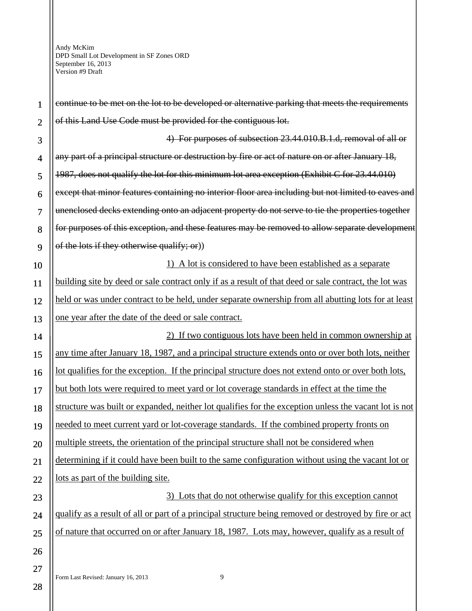| 1              | continue to be met on the lot to be developed or alternative parking that meets the requirements      |  |
|----------------|-------------------------------------------------------------------------------------------------------|--|
| $\overline{2}$ | of this Land Use Code must be provided for the contiguous lot.                                        |  |
| 3              | 4) For purposes of subsection 23.44.010.B.1.d, removal of all or                                      |  |
| $\overline{4}$ | any part of a principal structure or destruction by fire or act of nature on or after January 18,     |  |
| 5              | 1987, does not qualify the lot for this minimum lot area exception (Exhibit C for 23.44.010)          |  |
| 6              | except that minor features containing no interior floor area including but not limited to eaves and   |  |
| 7              | unenclosed decks extending onto an adjacent property do not serve to tie the properties together      |  |
| 8              | for purposes of this exception, and these features may be removed to allow separate development       |  |
| 9              | of the lots if they otherwise qualify; or))                                                           |  |
| 10             | 1) A lot is considered to have been established as a separate                                         |  |
| 11             | building site by deed or sale contract only if as a result of that deed or sale contract, the lot was |  |
| 12             | held or was under contract to be held, under separate ownership from all abutting lots for at least   |  |
| 13             | one year after the date of the deed or sale contract.                                                 |  |
| 14             | 2) If two contiguous lots have been held in common ownership at                                       |  |
| 15             | any time after January 18, 1987, and a principal structure extends onto or over both lots, neither    |  |
| 16             | lot qualifies for the exception. If the principal structure does not extend onto or over both lots,   |  |
| 17             | but both lots were required to meet yard or lot coverage standards in effect at the time the          |  |
| 18             | structure was built or expanded, neither lot qualifies for the exception unless the vacant lot is not |  |
| 19             | needed to meet current yard or lot-coverage standards. If the combined property fronts on             |  |
| 20             | multiple streets, the orientation of the principal structure shall not be considered when             |  |
| 21             | determining if it could have been built to the same configuration without using the vacant lot or     |  |
| 22             | lots as part of the building site.                                                                    |  |
| 23             | 3) Lots that do not otherwise qualify for this exception cannot                                       |  |
| 24             | qualify as a result of all or part of a principal structure being removed or destroyed by fire or act |  |
| 25             | of nature that occurred on or after January 18, 1987. Lots may, however, qualify as a result of       |  |
| 26             |                                                                                                       |  |
| 27             | 9                                                                                                     |  |
| 28             | Form Last Revised: January 16, 2013                                                                   |  |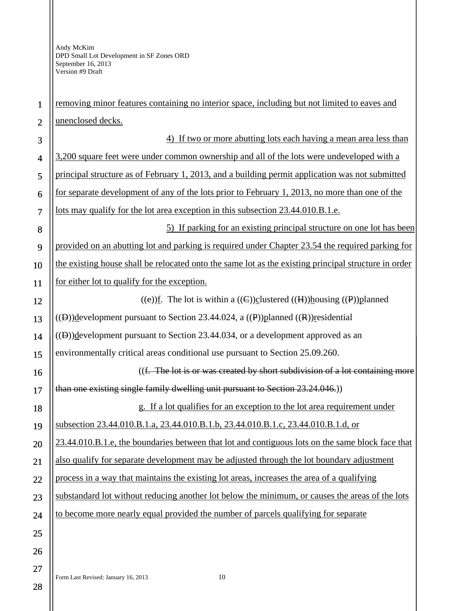| $\mathbf{1}$   | removing minor features containing no interior space, including but not limited to eaves and            |  |
|----------------|---------------------------------------------------------------------------------------------------------|--|
| $\overline{2}$ | unenclosed decks.                                                                                       |  |
| 3              | 4) If two or more abutting lots each having a mean area less than                                       |  |
| $\overline{4}$ | 3,200 square feet were under common ownership and all of the lots were undeveloped with a               |  |
| 5              | principal structure as of February 1, 2013, and a building permit application was not submitted         |  |
| 6              | for separate development of any of the lots prior to February 1, 2013, no more than one of the          |  |
| $\overline{7}$ | lots may qualify for the lot area exception in this subsection 23.44.010.B.1.e.                         |  |
| 8              | 5) If parking for an existing principal structure on one lot has been                                   |  |
| 9              | provided on an abutting lot and parking is required under Chapter 23.54 the required parking for        |  |
| 10             | the existing house shall be relocated onto the same lot as the existing principal structure in order    |  |
| 11             | for either lot to qualify for the exception.                                                            |  |
| 12             | ((e))f. The lot is within a ((C))clustered ((H))housing ((P))planned                                    |  |
| 13             | $((\theta))$ development pursuant to Section 23.44.024, a $((\theta))$ planned $((\theta))$ residential |  |
| 14             | $((B))$ development pursuant to Section 23.44.034, or a development approved as an                      |  |
| 15             | environmentally critical areas conditional use pursuant to Section 25.09.260.                           |  |
| 16             | ((f. The lot is or was created by short subdivision of a lot containing more                            |  |
| 17             | than one existing single family dwelling unit pursuant to Section 23.24.046.)                           |  |
| 18             | g. If a lot qualifies for an exception to the lot area requirement under                                |  |
| 19             | subsection 23.44.010.B.1.a, 23.44.010.B.1.b, 23.44.010.B.1.c, 23.44.010.B.1.d, or                       |  |
| $20\,$         | 23.44.010.B.1.e, the boundaries between that lot and contiguous lots on the same block face that        |  |
| 21             | also qualify for separate development may be adjusted through the lot boundary adjustment               |  |
| 22             | process in a way that maintains the existing lot areas, increases the area of a qualifying              |  |
| 23             | substandard lot without reducing another lot below the minimum, or causes the areas of the lots         |  |
| 24             | to become more nearly equal provided the number of parcels qualifying for separate                      |  |
| 25             |                                                                                                         |  |
| 26             |                                                                                                         |  |
| 27             |                                                                                                         |  |
| ററ             | 10<br>Form Last Revised: January 16, 2013                                                               |  |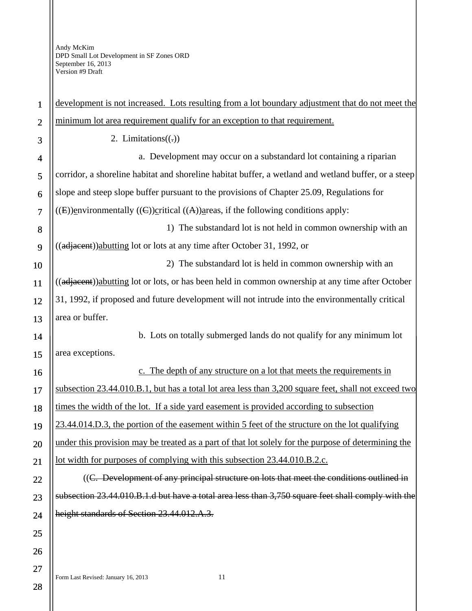| $\mathbf{1}$   | development is not increased. Lots resulting from a lot boundary adjustment that do not meet the     |  |  |
|----------------|------------------------------------------------------------------------------------------------------|--|--|
| $\overline{2}$ | minimum lot area requirement qualify for an exception to that requirement.                           |  |  |
| 3              | 2. Limitations $((.)$                                                                                |  |  |
| 4              | a. Development may occur on a substandard lot containing a riparian                                  |  |  |
| 5              | corridor, a shoreline habitat and shoreline habitat buffer, a wetland and wetland buffer, or a steep |  |  |
| 6              | slope and steep slope buffer pursuant to the provisions of Chapter 25.09, Regulations for            |  |  |
| $\overline{7}$ | ((E))environmentally ((C))critical ((A))areas, if the following conditions apply:                    |  |  |
| 8              | 1) The substandard lot is not held in common ownership with an                                       |  |  |
| 9              | ((adjacent)) abutting lot or lots at any time after October 31, 1992, or                             |  |  |
| 10             | 2) The substandard lot is held in common ownership with an                                           |  |  |
| 11             | ((adjacent))abutting lot or lots, or has been held in common ownership at any time after October     |  |  |
| 12             | 31, 1992, if proposed and future development will not intrude into the environmentally critical      |  |  |
| 13             | area or buffer.                                                                                      |  |  |
| 14             | b. Lots on totally submerged lands do not qualify for any minimum lot                                |  |  |
| 15             | area exceptions.                                                                                     |  |  |
| 16             | c. The depth of any structure on a lot that meets the requirements in                                |  |  |
| 17             | subsection 23.44.010.B.1, but has a total lot area less than 3,200 square feet, shall not exceed two |  |  |
| 18             | times the width of the lot. If a side yard easement is provided according to subsection              |  |  |
| 19             | 23.44.014.D.3, the portion of the easement within 5 feet of the structure on the lot qualifying      |  |  |
| 20             | under this provision may be treated as a part of that lot solely for the purpose of determining the  |  |  |
| 21             | lot width for purposes of complying with this subsection 23.44.010.B.2.c.                            |  |  |
| 22             | ((C. Development of any principal structure on lots that meet the conditions outlined in             |  |  |
| 23             | subsection 23.44.010.B.1.d but have a total area less than 3,750 square feet shall comply with the   |  |  |
| 24             | height standards of Section 23.44.012.A.3.                                                           |  |  |
| 25             |                                                                                                      |  |  |
| 26             |                                                                                                      |  |  |
| 27             |                                                                                                      |  |  |
| 28             | 11<br>Form Last Revised: January 16, 2013                                                            |  |  |
|                |                                                                                                      |  |  |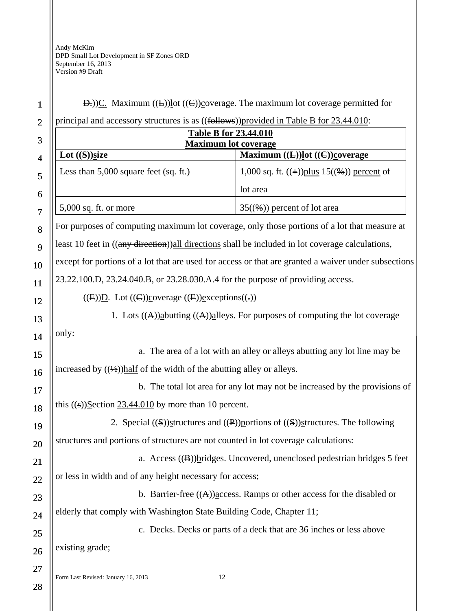## Form Last Revised: January 16, 2013 12 1 2 3 4 5 6 7 8 9 10 11 12 13 14 15 16 17 18 19 20 21 22 23  $24$ 25 26 27  $D$ .))C. Maximum  $((L))$ lot  $((C))$ coverage. The maximum lot coverage permitted for principal and accessory structures is as ((follows))provided in Table B for 23.44.010: **Table B for 23.44.010 Maximum lot coverage**  Lot ((S))size **Maximum ((L))lot ((C))coverage** Less than 5,000 square feet (sq. ft.)  $\left(1,000 \text{ sq. ft. } ((+))\text{plus } 15((\%))\text{ percent of }\right)$ lot area 5,000 sq. ft. or more  $35(\frac{96}{9})$  percent of lot area For purposes of computing maximum lot coverage, only those portions of a lot that measure at least 10 feet in ((any direction))all directions shall be included in lot coverage calculations, except for portions of a lot that are used for access or that are granted a waiver under subsections 23.22.100.D, 23.24.040.B, or 23.28.030.A.4 for the purpose of providing access.  $((E))D.$  Lot  $((E))$ coverage  $((E))$ exceptions $((\cdot))$ 1. Lots  $((A))$ abutting  $((A))$ alleys. For purposes of computing the lot coverage only: a. The area of a lot with an alley or alleys abutting any lot line may be increased by  $((\frac{1}{2}))$  half of the width of the abutting alley or alleys. b. The total lot area for any lot may not be increased by the provisions of this  $((s))$ Section 23.44.010 by more than 10 percent. 2. Special  $(\mathcal{S})$ structures and  $(\mathcal{P})$  portions of  $(\mathcal{S})$ structures. The following structures and portions of structures are not counted in lot coverage calculations: a. Access ((B))bridges. Uncovered, unenclosed pedestrian bridges 5 feet or less in width and of any height necessary for access; b. Barrier-free  $((A))$  access. Ramps or other access for the disabled or elderly that comply with Washington State Building Code, Chapter 11; c. Decks. Decks or parts of a deck that are 36 inches or less above existing grade;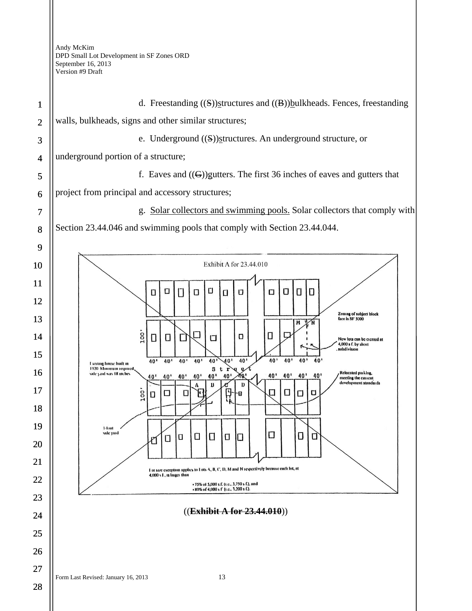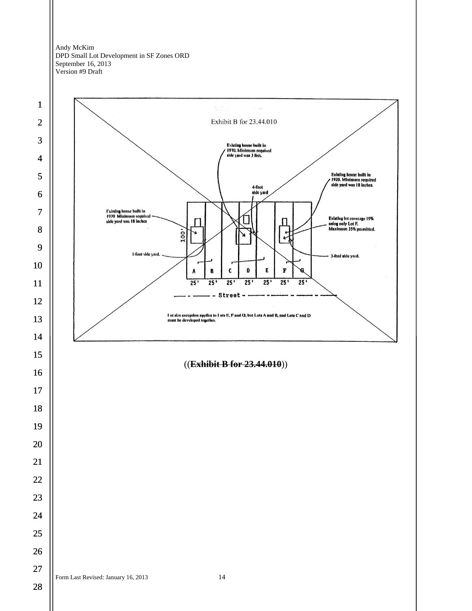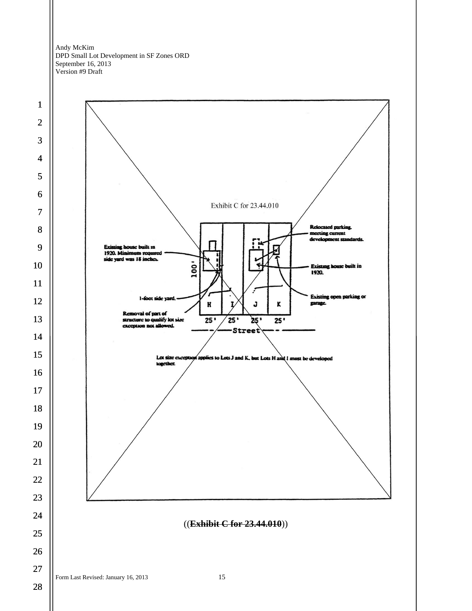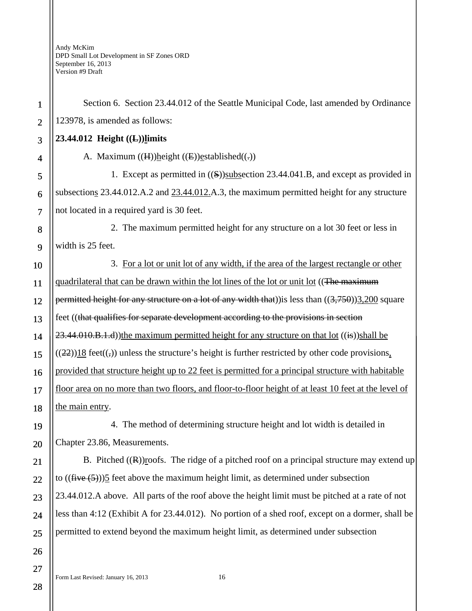28

Section 6. Section 23.44.012 of the Seattle Municipal Code, last amended by Ordinance 123978, is amended as follows:

## **23.44.012 Height ((L))limits**

A. Maximum  $((H))$ height  $((E))$ established $((.)$ 

1. Except as permitted in ((S))subsection 23.44.041.B, and except as provided in subsections 23.44.012.A.2 and 23.44.012.A.3, the maximum permitted height for any structure not located in a required yard is 30 feet.

2. The maximum permitted height for any structure on a lot 30 feet or less in width is 25 feet.

3. For a lot or unit lot of any width, if the area of the largest rectangle or other quadrilateral that can be drawn within the lot lines of the lot or unit lot ((The maximum permitted height for any structure on a lot of any width that)) is less than  $((3,750))3,200$  square feet ((that qualifies for separate development according to the provisions in section  $23.44.010.B.1.d$ ))the maximum permitted height for any structure on that lot  $((i\cdot s))$ shall be  $((22))18$  feet $((,))$  unless the structure's height is further restricted by other code provisions, provided that structure height up to 22 feet is permitted for a principal structure with habitable floor area on no more than two floors, and floor-to-floor height of at least 10 feet at the level of the main entry.

4. The method of determining structure height and lot width is detailed in Chapter 23.86, Measurements.

B. Pitched  $((\mathbb{R}))$ roofs. The ridge of a pitched roof on a principal structure may extend up to  $((\text{five}(5)))$ 5 feet above the maximum height limit, as determined under subsection 23.44.012.A above. All parts of the roof above the height limit must be pitched at a rate of not less than 4:12 (Exhibit A for 23.44.012). No portion of a shed roof, except on a dormer, shall be permitted to extend beyond the maximum height limit, as determined under subsection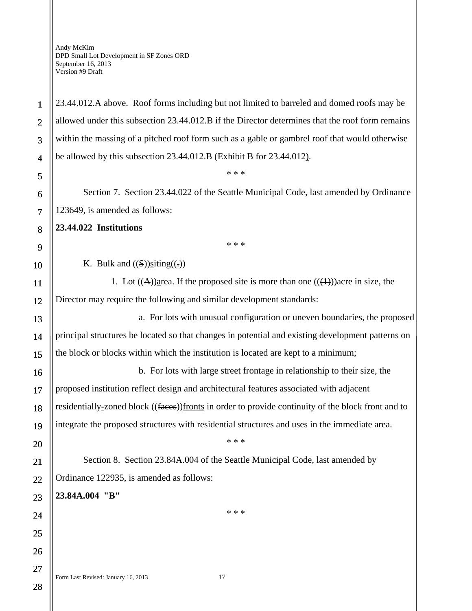23.44.012.A above. Roof forms including but not limited to barreled and domed roofs may be allowed under this subsection 23.44.012.B if the Director determines that the roof form remains within the massing of a pitched roof form such as a gable or gambrel roof that would otherwise be allowed by this subsection 23.44.012.B (Exhibit B for 23.44.012).

Section 7. Section 23.44.022 of the Seattle Municipal Code, last amended by Ordinance 123649, is amended as follows:

\* \* \*

\* \* \*

**23.44.022 Institutions** 

1

2

3

4

5

6

7

8

9

10

11

12

13

14

15

16

17

18

19

20

21

22

23

24

25

26

27

28

K. Bulk and  $((S))$ siting $((.)$ 

1. Lot  $((A))$  area. If the proposed site is more than one  $((\text{+}1))$  acre in size, the Director may require the following and similar development standards:

a. For lots with unusual configuration or uneven boundaries, the proposed principal structures be located so that changes in potential and existing development patterns on the block or blocks within which the institution is located are kept to a minimum;

b. For lots with large street frontage in relationship to their size, the proposed institution reflect design and architectural features associated with adjacent residentially-zoned block ((faces))fronts in order to provide continuity of the block front and to integrate the proposed structures with residential structures and uses in the immediate area.

\* \* \*

Section 8. Section 23.84A.004 of the Seattle Municipal Code, last amended by Ordinance 122935, is amended as follows:

**23.84A.004 "B"** 

\* \* \*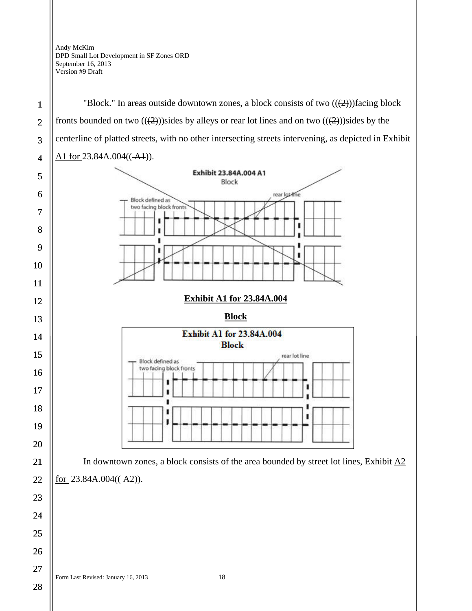28



ı

ī ı ı

ı

"Block." In areas outside downtown zones, a block consists of two  $((2))$  facing block

In downtown zones, a block consists of the area bounded by street lot lines, Exhibit  $\overline{A2}$ for  $23.84A.004((-A2))$ .

ı

ı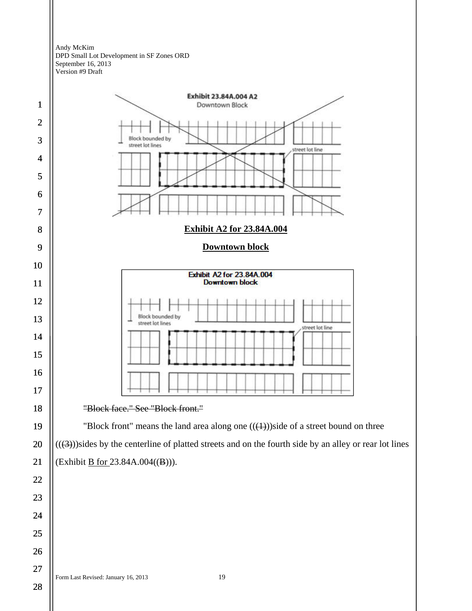



Form Last Revised: January 16, 2013 19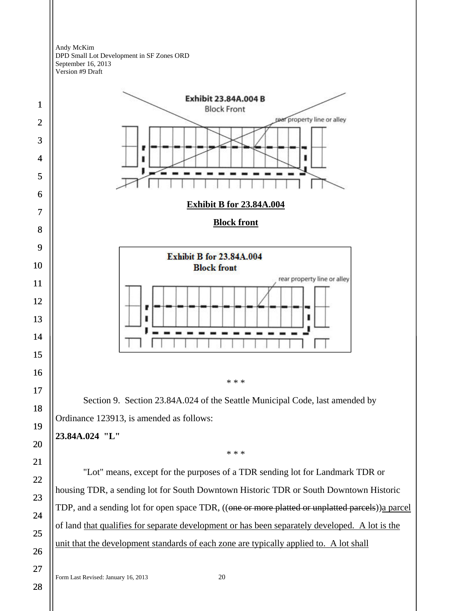



## **23.84A.024 "L"**

\* \* \*

"Lot" means, except for the purposes of a TDR sending lot for Landmark TDR or housing TDR, a sending lot for South Downtown Historic TDR or South Downtown Historic TDP, and a sending lot for open space TDR, ((one or more platted or unplatted parcels)) a parcel of land that qualifies for separate development or has been separately developed. A lot is the unit that the development standards of each zone are typically applied to. A lot shall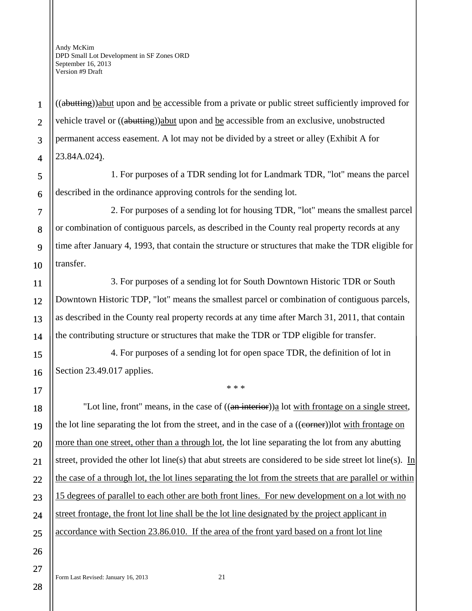1

2

3

4

5

6

7

8

9

10

11

12

13

14

15

16

17

18

19

20

21

22

23

24

25

26

27

((abutting))abut upon and be accessible from a private or public street sufficiently improved for vehicle travel or ((abutting))abut upon and be accessible from an exclusive, unobstructed permanent access easement. A lot may not be divided by a street or alley (Exhibit A for 23.84A.024).

1. For purposes of a TDR sending lot for Landmark TDR, "lot" means the parcel described in the ordinance approving controls for the sending lot.

2. For purposes of a sending lot for housing TDR, "lot" means the smallest parcel or combination of contiguous parcels, as described in the County real property records at any time after January 4, 1993, that contain the structure or structures that make the TDR eligible for transfer.

3. For purposes of a sending lot for South Downtown Historic TDR or South Downtown Historic TDP, "lot" means the smallest parcel or combination of contiguous parcels, as described in the County real property records at any time after March 31, 2011, that contain the contributing structure or structures that make the TDR or TDP eligible for transfer.

4. For purposes of a sending lot for open space TDR, the definition of lot in Section 23.49.017 applies.

"Lot line, front" means, in the case of  $((an\;interior))$ <sub>a</sub> lot with frontage on a single street, the lot line separating the lot from the street, and in the case of a ((corner))lot with frontage on more than one street, other than a through lot, the lot line separating the lot from any abutting street, provided the other lot line(s) that abut streets are considered to be side street lot line(s). In the case of a through lot, the lot lines separating the lot from the streets that are parallel or within 15 degrees of parallel to each other are both front lines. For new development on a lot with no street frontage, the front lot line shall be the lot line designated by the project applicant in accordance with Section 23.86.010. If the area of the front yard based on a front lot line

\* \* \*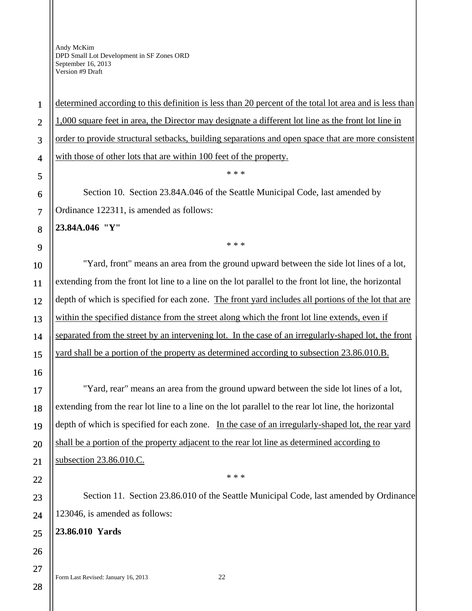determined according to this definition is less than 20 percent of the total lot area and is less than 1,000 square feet in area, the Director may designate a different lot line as the front lot line in order to provide structural setbacks, building separations and open space that are more consistent with those of other lots that are within 100 feet of the property.

\* \* \*

Section 10. Section 23.84A.046 of the Seattle Municipal Code, last amended by Ordinance 122311, is amended as follows:

**23.84A.046 "Y"** 

1

2

3

4

5

6

7

8

9

10

11

12

13

14

15

16

17

18

19

20

21

22

23

24

25

26

\* \* \*

"Yard, front" means an area from the ground upward between the side lot lines of a lot, extending from the front lot line to a line on the lot parallel to the front lot line, the horizontal depth of which is specified for each zone. The front yard includes all portions of the lot that are within the specified distance from the street along which the front lot line extends, even if separated from the street by an intervening lot. In the case of an irregularly-shaped lot, the front yard shall be a portion of the property as determined according to subsection 23.86.010.B.

"Yard, rear" means an area from the ground upward between the side lot lines of a lot, extending from the rear lot line to a line on the lot parallel to the rear lot line, the horizontal depth of which is specified for each zone. In the case of an irregularly-shaped lot, the rear yard shall be a portion of the property adjacent to the rear lot line as determined according to subsection 23.86.010.C.

Section 11. Section 23.86.010 of the Seattle Municipal Code, last amended by Ordinance 123046, is amended as follows:

\* \* \*

**23.86.010 Yards** 

Form Last Revised: January 16, 2013 22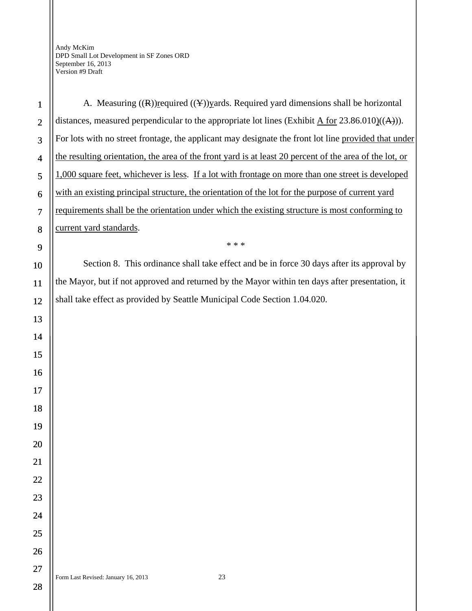A. Measuring  $((R))$ required  $((Y))$  vards. Required yard dimensions shall be horizontal distances, measured perpendicular to the appropriate lot lines (Exhibit A for  $23.86.010$ )((A))). For lots with no street frontage, the applicant may designate the front lot line provided that under the resulting orientation, the area of the front yard is at least 20 percent of the area of the lot, or 1,000 square feet, whichever is less. If a lot with frontage on more than one street is developed with an existing principal structure, the orientation of the lot for the purpose of current yard requirements shall be the orientation under which the existing structure is most conforming to current yard standards. \* \* \* Section 8. This ordinance shall take effect and be in force 30 days after its approval by the Mayor, but if not approved and returned by the Mayor within ten days after presentation, it shall take effect as provided by Seattle Municipal Code Section 1.04.020.